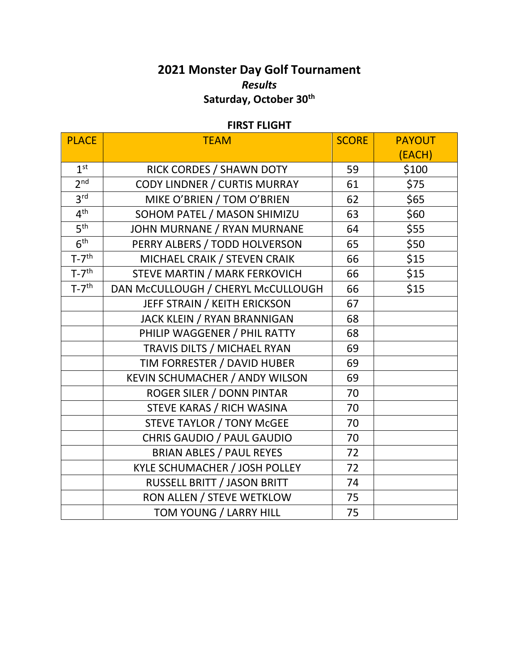## **2021 Monster Day Golf Tournament** *Results* **Saturday, October 30 th**

## **FIRST FLIGHT**

| <b>PLACE</b>        | <b>TEAM</b>                           | <b>SCORE</b> | <b>PAYOUT</b> |
|---------------------|---------------------------------------|--------------|---------------|
|                     |                                       |              | (EACH)        |
| 1 <sup>st</sup>     | RICK CORDES / SHAWN DOTY              | 59           | \$100         |
| 2 <sup>nd</sup>     | CODY LINDNER / CURTIS MURRAY          | 61           | \$75          |
| 3 <sup>rd</sup>     | MIKE O'BRIEN / TOM O'BRIEN            | 62           | \$65          |
| 4 <sup>th</sup>     | SOHOM PATEL / MASON SHIMIZU           | 63           | \$60          |
| 5 <sup>th</sup>     | JOHN MURNANE / RYAN MURNANE           | 64           | \$55          |
| 6 <sup>th</sup>     | PERRY ALBERS / TODD HOLVERSON         | 65           | \$50          |
| $T-7$ <sup>th</sup> | MICHAEL CRAIK / STEVEN CRAIK          | 66           | \$15          |
| $T-7$ <sup>th</sup> | STEVE MARTIN / MARK FERKOVICH         | 66           | \$15          |
| $T-7$ <sup>th</sup> | DAN MCCULLOUGH / CHERYL MCCULLOUGH    | 66           | \$15          |
|                     | JEFF STRAIN / KEITH ERICKSON          | 67           |               |
|                     | JACK KLEIN / RYAN BRANNIGAN           | 68           |               |
|                     | PHILIP WAGGENER / PHIL RATTY          | 68           |               |
|                     | TRAVIS DILTS / MICHAEL RYAN           | 69           |               |
|                     | TIM FORRESTER / DAVID HUBER           | 69           |               |
|                     | <b>KEVIN SCHUMACHER / ANDY WILSON</b> | 69           |               |
|                     | ROGER SILER / DONN PINTAR             | 70           |               |
|                     | STEVE KARAS / RICH WASINA             | 70           |               |
|                     | <b>STEVE TAYLOR / TONY McGEE</b>      | 70           |               |
|                     | CHRIS GAUDIO / PAUL GAUDIO            | 70           |               |
|                     | <b>BRIAN ABLES / PAUL REYES</b>       | 72           |               |
|                     | KYLE SCHUMACHER / JOSH POLLEY         | 72           |               |
|                     | RUSSELL BRITT / JASON BRITT           | 74           |               |
|                     | RON ALLEN / STEVE WETKLOW             | 75           |               |
|                     | TOM YOUNG / LARRY HILL                | 75           |               |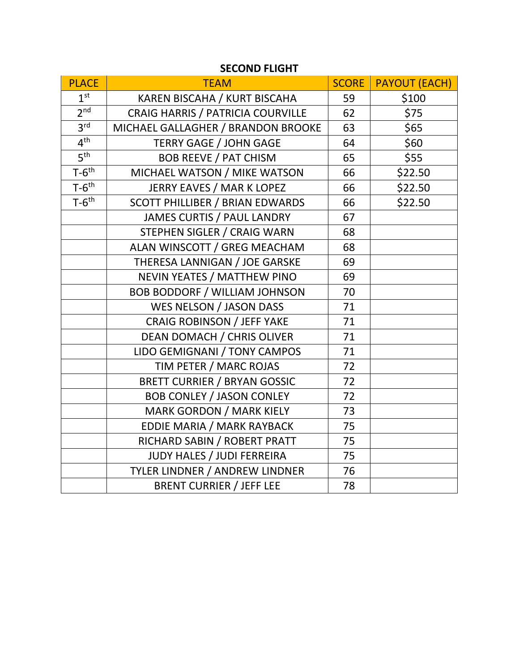| <b>PLACE</b>        | <b>TEAM</b>                            | <b>SCORE</b> | <b>PAYOUT (EACH)</b> |
|---------------------|----------------------------------------|--------------|----------------------|
| 1 <sup>st</sup>     | KAREN BISCAHA / KURT BISCAHA           | 59           | \$100                |
| 2 <sup>nd</sup>     | CRAIG HARRIS / PATRICIA COURVILLE      | 62           | \$75                 |
| 3 <sup>rd</sup>     | MICHAEL GALLAGHER / BRANDON BROOKE     | 63           | \$65                 |
| 4 <sup>th</sup>     | <b>TERRY GAGE / JOHN GAGE</b>          | 64           | \$60                 |
| 5 <sup>th</sup>     | <b>BOB REEVE / PAT CHISM</b>           | 65           | \$55                 |
| $T-6$ <sup>th</sup> | MICHAEL WATSON / MIKE WATSON           | 66           | \$22.50              |
| $T-6$ <sup>th</sup> | <b>JERRY EAVES / MAR K LOPEZ</b>       | 66           | \$22.50              |
| $T-6$ <sup>th</sup> | <b>SCOTT PHILLIBER / BRIAN EDWARDS</b> | 66           | \$22.50              |
|                     | JAMES CURTIS / PAUL LANDRY             | 67           |                      |
|                     | STEPHEN SIGLER / CRAIG WARN            | 68           |                      |
|                     | ALAN WINSCOTT / GREG MEACHAM           | 68           |                      |
|                     | THERESA LANNIGAN / JOE GARSKE          | 69           |                      |
|                     | NEVIN YEATES / MATTHEW PINO            | 69           |                      |
|                     | <b>BOB BODDORF / WILLIAM JOHNSON</b>   | 70           |                      |
|                     | WES NELSON / JASON DASS                | 71           |                      |
|                     | <b>CRAIG ROBINSON / JEFF YAKE</b>      | 71           |                      |
|                     | DEAN DOMACH / CHRIS OLIVER             | 71           |                      |
|                     | LIDO GEMIGNANI / TONY CAMPOS           | 71           |                      |
|                     | TIM PETER / MARC ROJAS                 | 72           |                      |
|                     | <b>BRETT CURRIER / BRYAN GOSSIC</b>    | 72           |                      |
|                     | <b>BOB CONLEY / JASON CONLEY</b>       | 72           |                      |
|                     | <b>MARK GORDON / MARK KIELY</b>        | 73           |                      |
|                     | EDDIE MARIA / MARK RAYBACK             | 75           |                      |
|                     | RICHARD SABIN / ROBERT PRATT           | 75           |                      |
|                     | <b>JUDY HALES / JUDI FERREIRA</b>      | 75           |                      |
|                     | TYLER LINDNER / ANDREW LINDNER         | 76           |                      |
|                     | <b>BRENT CURRIER / JEFF LEE</b>        | 78           |                      |

## **SECOND FLIGHT**